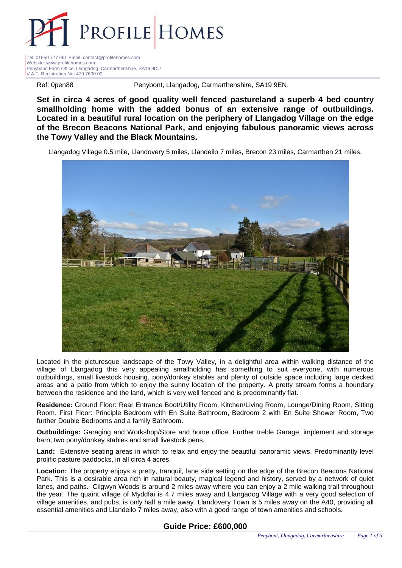

Tel: 01550 777790 Email: contact@profilehomes.com Website: www.profilehomes.com Penybanc Farm Office, Llangadog, Carmarthenshire, SA19 9DU V.A.T. Registration No: 479 7600 00

Ref: 0pen88 Penybont, Llangadog, Carmarthenshire, SA19 9EN.

**Set in circa 4 acres of good quality well fenced pastureland a superb 4 bed country smallholding home with the added bonus of an extensive range of outbuildings. Located in a beautiful rural location on the periphery of Llangadog Village on the edge of the Brecon Beacons National Park, and enjoying fabulous panoramic views across the Towy Valley and the Black Mountains.** 

Llangadog Village 0.5 mile, Llandovery 5 miles, Llandeilo 7 miles, Brecon 23 miles, Carmarthen 21 miles.



Located in the picturesque landscape of the Towy Valley, in a delightful area within walking distance of the village of Llangadog this very appealing smallholding has something to suit everyone, with numerous outbuildings, small livestock housing, pony/donkey stables and plenty of outside space including large decked areas and a patio from which to enjoy the sunny location of the property. A pretty stream forms a boundary between the residence and the land, which is very well fenced and is predominantly flat.

**Residence:** Ground Floor: Rear Entrance Boot/Utility Room, Kitchen/Living Room, Lounge/Dining Room, Sitting Room. First Floor: Principle Bedroom with En Suite Bathroom, Bedroom 2 with En Suite Shower Room, Two further Double Bedrooms and a family Bathroom.

**Outbuildings:** Garaging and Workshop/Store and home office, Further treble Garage, implement and storage barn, two pony/donkey stables and small livestock pens.

**Land:** Extensive seating areas in which to relax and enjoy the beautiful panoramic views. Predominantly level prolific pasture paddocks, in all circa 4 acres.

**Location:** The property enjoys a pretty, tranquil, lane side setting on the edge of the Brecon Beacons National Park. This is a desirable area rich in natural beauty, magical legend and history, served by a network of quiet lanes, and paths. Cilgwyn Woods is around 2 miles away where you can enjoy a 2 mile walking trail throughout the year. The quaint village of Myddfai is 4.7 miles away and Llangadog Village with a very good selection of village amenities, and pubs, is only half a mile away. Llandovery Town is 5 miles away on the A40, providing all essential amenities and Llandeilo 7 miles away, also with a good range of town amenities and schools.

### **Guide Price: £600,000**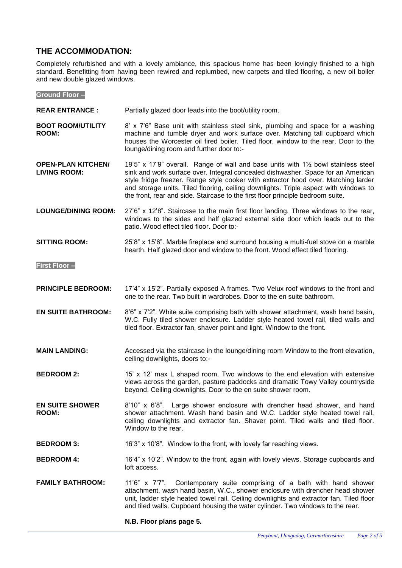# **THE ACCOMMODATION:**

Completely refurbished and with a lovely ambiance, this spacious home has been lovingly finished to a high standard. Benefitting from having been rewired and replumbed, new carpets and tiled flooring, a new oil boiler and new double glazed windows.

| <b>Ground Floor-</b>                             |                                                                                                                                                                                                                                                                                                                                                                                                                                                   |
|--------------------------------------------------|---------------------------------------------------------------------------------------------------------------------------------------------------------------------------------------------------------------------------------------------------------------------------------------------------------------------------------------------------------------------------------------------------------------------------------------------------|
| <b>REAR ENTRANCE :</b>                           | Partially glazed door leads into the boot/utility room.                                                                                                                                                                                                                                                                                                                                                                                           |
| <b>BOOT ROOM/UTILITY</b><br><b>ROOM:</b>         | 8' x 7'6" Base unit with stainless steel sink, plumbing and space for a washing<br>machine and tumble dryer and work surface over. Matching tall cupboard which<br>houses the Worcester oil fired boiler. Tiled floor, window to the rear. Door to the<br>lounge/dining room and further door to:-                                                                                                                                                |
| <b>OPEN-PLAN KITCHEN/</b><br><b>LIVING ROOM:</b> | 19'5" x 17'9" overall. Range of wall and base units with $1\frac{1}{2}$ bowl stainless steel<br>sink and work surface over. Integral concealed dishwasher. Space for an American<br>style fridge freezer. Range style cooker with extractor hood over. Matching larder<br>and storage units. Tiled flooring, ceiling downlights. Triple aspect with windows to<br>the front, rear and side. Staircase to the first floor principle bedroom suite. |
| <b>LOUNGE/DINING ROOM:</b>                       | 27'6" x 12'8". Staircase to the main first floor landing. Three windows to the rear,<br>windows to the sides and half glazed external side door which leads out to the<br>patio. Wood effect tiled floor. Door to:-                                                                                                                                                                                                                               |
| <b>SITTING ROOM:</b>                             | 25'8" x 15'6". Marble fireplace and surround housing a multi-fuel stove on a marble<br>hearth. Half glazed door and window to the front. Wood effect tiled flooring.                                                                                                                                                                                                                                                                              |
| First Floor -                                    |                                                                                                                                                                                                                                                                                                                                                                                                                                                   |
| <b>PRINCIPLE BEDROOM:</b>                        | 17'4" x 15'2". Partially exposed A frames. Two Velux roof windows to the front and<br>one to the rear. Two built in wardrobes. Door to the en suite bathroom.                                                                                                                                                                                                                                                                                     |
| <b>EN SUITE BATHROOM:</b>                        | 8'6" x 7'2". White suite comprising bath with shower attachment, wash hand basin,<br>W.C. Fully tiled shower enclosure. Ladder style heated towel rail, tiled walls and<br>tiled floor. Extractor fan, shaver point and light. Window to the front.                                                                                                                                                                                               |
| <b>MAIN LANDING:</b>                             | Accessed via the staircase in the lounge/dining room Window to the front elevation,<br>ceiling downlights, doors to:-                                                                                                                                                                                                                                                                                                                             |
| <b>BEDROOM 2:</b>                                | 15' x 12' max L shaped room. Two windows to the end elevation with extensive<br>views across the garden, pasture paddocks and dramatic Towy Valley countryside<br>beyond. Ceiling downlights. Door to the en suite shower room.                                                                                                                                                                                                                   |
| <b>EN SUITE SHOWER</b><br><b>ROOM:</b>           | 8'10" x 6'8". Large shower enclosure with drencher head shower, and hand<br>shower attachment. Wash hand basin and W.C. Ladder style heated towel rail,<br>ceiling downlights and extractor fan. Shaver point. Tiled walls and tiled floor.<br>Window to the rear.                                                                                                                                                                                |
| <b>BEDROOM 3:</b>                                | 16'3" x 10'8". Window to the front, with lovely far reaching views.                                                                                                                                                                                                                                                                                                                                                                               |
| <b>BEDROOM 4:</b>                                | 16'4" x 10'2". Window to the front, again with lovely views. Storage cupboards and<br>loft access.                                                                                                                                                                                                                                                                                                                                                |
| <b>FAMILY BATHROOM:</b>                          | 11'6" x 7'7". Contemporary suite comprising of a bath with hand shower<br>attachment, wash hand basin, W.C., shower enclosure with drencher head shower<br>unit, ladder style heated towel rail. Ceiling downlights and extractor fan. Tiled floor<br>and tiled walls. Cupboard housing the water cylinder. Two windows to the rear.                                                                                                              |
|                                                  |                                                                                                                                                                                                                                                                                                                                                                                                                                                   |

**N.B. Floor plans page 5.**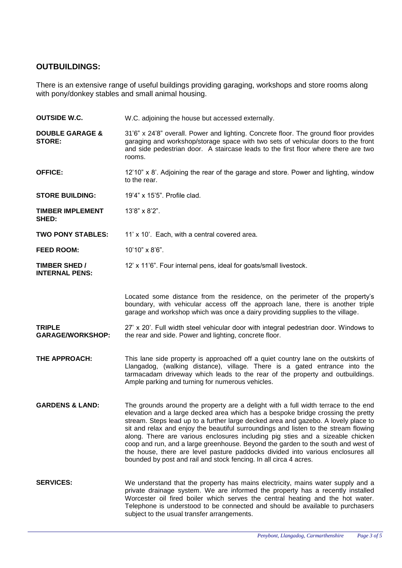## **OUTBUILDINGS:**

There is an extensive range of useful buildings providing garaging, workshops and store rooms along with pony/donkey stables and small animal housing.

| <b>OUTSIDE W.C.</b>                           | W.C. adjoining the house but accessed externally.                                                                                                                                                                                                                                                                                                                                                                                                                                                                                                                                                                                                                                 |
|-----------------------------------------------|-----------------------------------------------------------------------------------------------------------------------------------------------------------------------------------------------------------------------------------------------------------------------------------------------------------------------------------------------------------------------------------------------------------------------------------------------------------------------------------------------------------------------------------------------------------------------------------------------------------------------------------------------------------------------------------|
| <b>DOUBLE GARAGE &amp;</b><br><b>STORE:</b>   | 31'6" x 24'8" overall. Power and lighting. Concrete floor. The ground floor provides<br>garaging and workshop/storage space with two sets of vehicular doors to the front<br>and side pedestrian door. A staircase leads to the first floor where there are two<br>rooms.                                                                                                                                                                                                                                                                                                                                                                                                         |
| <b>OFFICE:</b>                                | 12'10" x 8'. Adjoining the rear of the garage and store. Power and lighting, window<br>to the rear.                                                                                                                                                                                                                                                                                                                                                                                                                                                                                                                                                                               |
| <b>STORE BUILDING:</b>                        | 19'4" x 15'5". Profile clad.                                                                                                                                                                                                                                                                                                                                                                                                                                                                                                                                                                                                                                                      |
| <b>TIMBER IMPLEMENT</b><br>SHED:              | 13'8" x 8'2".                                                                                                                                                                                                                                                                                                                                                                                                                                                                                                                                                                                                                                                                     |
| <b>TWO PONY STABLES:</b>                      | 11' x 10'. Each, with a central covered area.                                                                                                                                                                                                                                                                                                                                                                                                                                                                                                                                                                                                                                     |
| <b>FEED ROOM:</b>                             | 10'10" x 8'6".                                                                                                                                                                                                                                                                                                                                                                                                                                                                                                                                                                                                                                                                    |
| <b>TIMBER SHED /</b><br><b>INTERNAL PENS:</b> | 12' x 11'6". Four internal pens, ideal for goats/small livestock.                                                                                                                                                                                                                                                                                                                                                                                                                                                                                                                                                                                                                 |
|                                               | Located some distance from the residence, on the perimeter of the property's<br>boundary, with vehicular access off the approach lane, there is another triple<br>garage and workshop which was once a dairy providing supplies to the village.                                                                                                                                                                                                                                                                                                                                                                                                                                   |
| <b>TRIPLE</b><br><b>GARAGE/WORKSHOP:</b>      | 27' x 20'. Full width steel vehicular door with integral pedestrian door. Windows to<br>the rear and side. Power and lighting, concrete floor.                                                                                                                                                                                                                                                                                                                                                                                                                                                                                                                                    |
| THE APPROACH:                                 | This lane side property is approached off a quiet country lane on the outskirts of<br>Llangadog, (walking distance), village. There is a gated entrance into the<br>tarmacadam driveway which leads to the rear of the property and outbuildings.<br>Ample parking and turning for numerous vehicles.                                                                                                                                                                                                                                                                                                                                                                             |
| <b>GARDENS &amp; LAND:</b>                    | The grounds around the property are a delight with a full width terrace to the end<br>elevation and a large decked area which has a bespoke bridge crossing the pretty<br>stream. Steps lead up to a further large decked area and gazebo. A lovely place to<br>sit and relax and enjoy the beautiful surroundings and listen to the stream flowing<br>along. There are various enclosures including pig sties and a sizeable chicken<br>coop and run, and a large greenhouse. Beyond the garden to the south and west of<br>the house, there are level pasture paddocks divided into various enclosures all<br>bounded by post and rail and stock fencing. In all circa 4 acres. |
| <b>SERVICES:</b>                              | We understand that the property has mains electricity, mains water supply and a<br>private drainage system. We are informed the property has a recently installed<br>Worcester oil fired boiler which serves the central heating and the hot water.<br>Telephone is understood to be connected and should be available to purchasers<br>subject to the usual transfer arrangements.                                                                                                                                                                                                                                                                                               |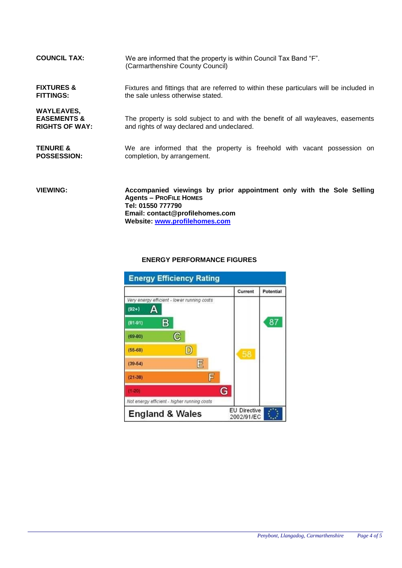| <b>COUNCIL TAX:</b>                                                  | We are informed that the property is within Council Tax Band "F".<br>(Carmarthenshire County Council)                          |
|----------------------------------------------------------------------|--------------------------------------------------------------------------------------------------------------------------------|
| <b>FIXTURES &amp;</b><br><b>FITTINGS:</b>                            | Fixtures and fittings that are referred to within these particulars will be included in<br>the sale unless otherwise stated.   |
| <b>WAYLEAVES,</b><br><b>EASEMENTS &amp;</b><br><b>RIGHTS OF WAY:</b> | The property is sold subject to and with the benefit of all wayleaves, easements<br>and rights of way declared and undeclared. |
| <b>TENURE &amp;</b><br><b>POSSESSION:</b>                            | We are informed that the property is freehold with vacant possession on<br>completion, by arrangement.                         |
|                                                                      |                                                                                                                                |

**VIEWING: Accompanied viewings by prior appointment only with the Sole Selling Agents – PROFILE HOMES Tel: 01550 777790 Email: contact@profilehomes.com Website: [www.profilehomes.com](http://www.profilehomes.com/)**

#### **ENERGY PERFORMANCE FIGURES**